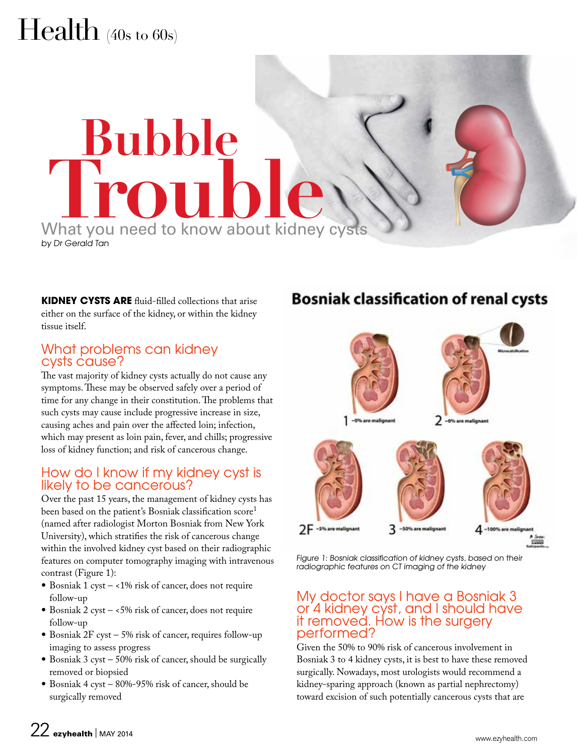# Health (40s to 60s)

# What you need to know about kidney cysts by Dr Gerald Tan **Bubble**

**KIDNEY CYSTS ARE** fluid-filled collections that arise either on the surface of the kidney, or within the kidney tissue itself.

## What problems can kidney cysts cause?

The vast majority of kidney cysts actually do not cause any symptoms. These may be observed safely over a period of time for any change in their constitution. The problems that such cysts may cause include progressive increase in size, causing aches and pain over the affected loin; infection, which may present as loin pain, fever, and chills; progressive loss of kidney function; and risk of cancerous change.

## How do I know if my kidney cyst is likely to be cancerous?

Over the past 15 years, the management of kidney cysts has been based on the patient's Bosniak classification score<sup>1</sup> (named after radiologist Morton Bosniak from New York University), which stratifies the risk of cancerous change within the involved kidney cyst based on their radiographic features on computer tomography imaging with intravenous contrast (Figure 1):

- Bosniak 1 cyst  $-$  <1% risk of cancer, does not require follow-up
- Bosniak 2 cyst <5% risk of cancer, does not require follow-up
- Bosniak 2F cyst 5% risk of cancer, requires follow-up imaging to assess progress
- Bosniak 3 cyst 50% risk of cancer, should be surgically removed or biopsied
- Bosniak 4 cyst 80%-95% risk of cancer, should be surgically removed

# **Bosniak classification of renal cysts**



Figure 1: Bosniak classification of kidney cysts, based on their radiographic features on CT imaging of the kidney

#### My doctor says I have a Bosniak 3 or 4 kidney cyst, and I should have it removed. How is the surgery performed?

Given the 50% to 90% risk of cancerous involvement in Bosniak 3 to 4 kidney cysts, it is best to have these removed surgically. Nowadays, most urologists would recommend a kidney-sparing approach (known as partial nephrectomy) toward excision of such potentially cancerous cysts that are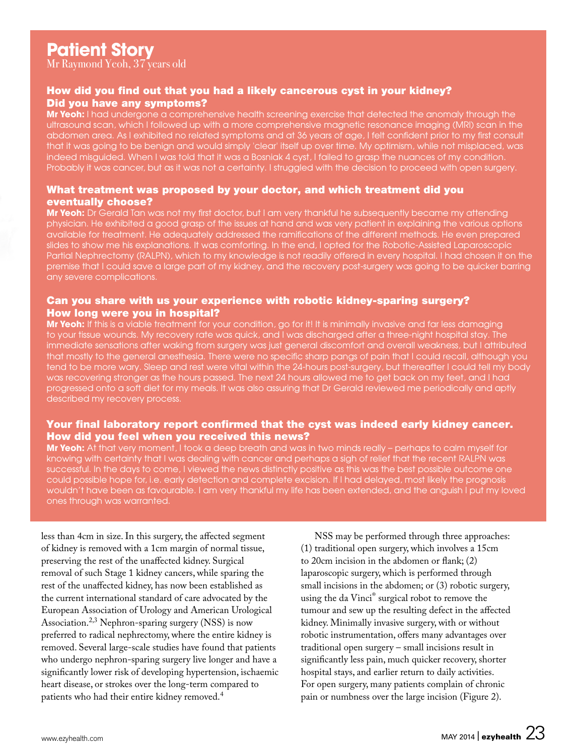Mr Raymond Yeoh, 37 years old

#### How did you find out that you had a likely cancerous cyst in your kidney? Did you have any symptoms?

**Mr Yeoh:** I had undergone a comprehensive health screening exercise that detected the anomaly through the ultrasound scan, which I followed up with a more comprehensive magnetic resonance imaging (MRI) scan in the abdomen area. As I exhibited no related symptoms and at 36 years of age, I felt confident prior to my first consult that it was going to be benign and would simply 'clear' itself up over time. My optimism, while not misplaced, was indeed misguided. When I was told that it was a Bosniak 4 cyst, I failed to grasp the nuances of my condition. Probably it was cancer, but as it was not a certainty. I struggled with the decision to proceed with open surgery.

#### What treatment was proposed by your doctor, and which treatment did you eventually choose?

**Mr Yeoh:** Dr Gerald Tan was not my first doctor, but I am very thankful he subsequently became my attending physician. He exhibited a good grasp of the issues at hand and was very patient in explaining the various options available for treatment. He adequately addressed the ramifications of the different methods. He even prepared slides to show me his explanations. It was comforting. In the end, I opted for the Robotic-Assisted Laparoscopic Partial Nephrectomy (RALPN), which to my knowledge is not readily offered in every hospital. I had chosen it on the premise that I could save a large part of my kidney, and the recovery post-surgery was going to be quicker barring any severe complications.

#### Can you share with us your experience with robotic kidney-sparing surgery? How long were you in hospital?

**Mr Yeoh:** If this is a viable treatment for your condition, go for it! It is minimally invasive and far less damaging to your tissue wounds. My recovery rate was quick, and I was discharged after a three-night hospital stay. The immediate sensations after waking from surgery was just general discomfort and overall weakness, but I attributed that mostly to the general anesthesia. There were no specific sharp pangs of pain that I could recall, although you tend to be more wary. Sleep and rest were vital within the 24-hours post-surgery, but thereafter I could tell my body was recovering stronger as the hours passed. The next 24 hours allowed me to get back on my feet, and I had progressed onto a soft diet for my meals. It was also assuring that Dr Gerald reviewed me periodically and aptly described my recovery process.

#### Your final laboratory report confirmed that the cyst was indeed early kidney cancer. How did you feel when you received this news?

**Mr Yeoh:** At that very moment, I took a deep breath and was in two minds really – perhaps to calm myself for knowing with certainty that I was dealing with cancer and perhaps a sigh of relief that the recent RALPN was successful. In the days to come, I viewed the news distinctly positive as this was the best possible outcome one could possible hope for, i.e. early detection and complete excision. If I had delayed, most likely the prognosis wouldn't have been as favourable. I am very thankful my life has been extended, and the anguish I put my loved ones through was warranted.

less than 4cm in size. In this surgery, the affected segment of kidney is removed with a 1cm margin of normal tissue, preserving the rest of the unaffected kidney. Surgical removal of such Stage 1 kidney cancers, while sparing the rest of the unaffected kidney, has now been established as the current international standard of care advocated by the European Association of Urology and American Urological Association.<sup>2,3</sup> Nephron-sparing surgery (NSS) is now preferred to radical nephrectomy, where the entire kidney is removed. Several large-scale studies have found that patients who undergo nephron-sparing surgery live longer and have a significantly lower risk of developing hypertension, ischaemic heart disease, or strokes over the long-term compared to patients who had their entire kidney removed.<sup>4</sup>

NSS may be performed through three approaches: (1) traditional open surgery, which involves a 15cm to 20cm incision in the abdomen or flank; (2) laparoscopic surgery, which is performed through small incisions in the abdomen; or (3) robotic surgery, using the da Vinci® surgical robot to remove the tumour and sew up the resulting defect in the affected kidney. Minimally invasive surgery, with or without robotic instrumentation, offers many advantages over traditional open surgery – small incisions result in significantly less pain, much quicker recovery, shorter hospital stays, and earlier return to daily activities. For open surgery, many patients complain of chronic pain or numbness over the large incision (Figure 2).